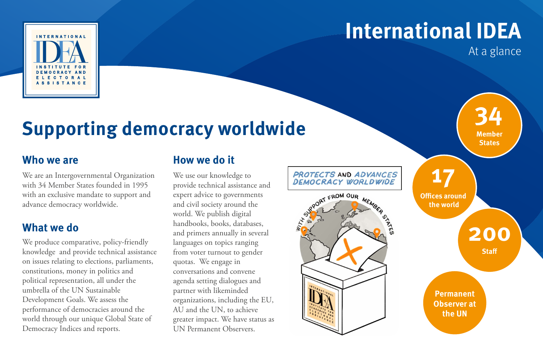

At a glance

## **Supporting democracy worldwide**

#### **Who we are**

We are an Intergovernmental Organization with 34 Member States founded in 1995 with an exclusive mandate to support and advance democracy worldwide.

#### **What we do**

We produce comparative, policy-friendly knowledge and provide technical assistance on issues relating to elections, parliaments, constitutions, money in politics and political representation, all under the umbrella of the UN Sustainable Development Goals. We assess the performance of democracies around the world through our unique Global State of Democracy Indices and reports.

## **How we do it**

We use our knowledge to provide technical assistance and expert advice to governments and civil society around the world. We publish digital handbooks, books, databases, and primers annually in several languages on topics ranging from voter turnout to gender quotas. We engage in conversations and convene agenda setting dialogues and partner with likeminded organizations, including the EU, AU and the UN, to achieve greater impact. We have status as UN Permanent Observers.